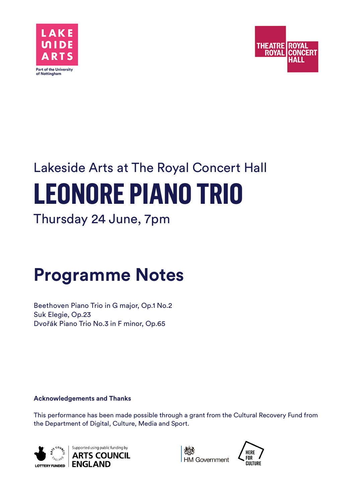



# Lakeside Arts at The Royal Concert Hall **LEONORE PIANO TRIO**

Thursday 24 June, 7pm

## **Programme Notes**

Beethoven Piano Trio in G major, Op.1 No.2 Suk Elegie, Op.23 Dvořák Piano Trio No.3 in F minor, Op.65

**Acknowledgements and Thanks**

This performance has been made possible through a grant from the Cultural Recovery Fund from the Department of Digital, Culture, Media and Sport.





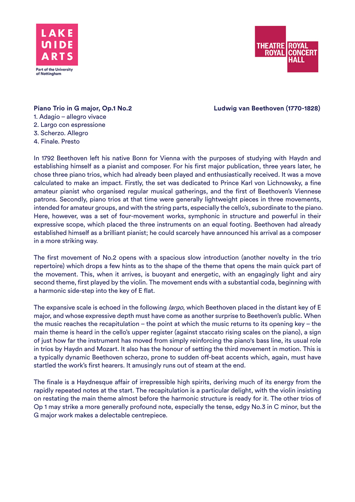



**Piano Trio in G major, Op.1 No.2 Ludwig van Beethoven (1770-1828)**

## 1. Adagio – allegro vivace 2. Largo con espressione 3. Scherzo. Allegro

4. Finale. Presto

In 1792 Beethoven left his native Bonn for Vienna with the purposes of studying with Haydn and establishing himself as a pianist and composer. For his first major publication, three years later, he chose three piano trios, which had already been played and enthusiastically received. It was a move calculated to make an impact. Firstly, the set was dedicated to Prince Karl von Lichnowsky, a fine amateur pianist who organised regular musical gatherings, and the first of Beethoven's Viennese patrons. Secondly, piano trios at that time were generally lightweight pieces in three movements, intended for amateur groups, and with the string parts, especially the cello's, subordinate to the piano. Here, however, was a set of four-movement works, symphonic in structure and powerful in their expressive scope, which placed the three instruments on an equal footing. Beethoven had already established himself as a brilliant pianist; he could scarcely have announced his arrival as a composer in a more striking way.

The first movement of No.2 opens with a spacious slow introduction (another novelty in the trio repertoire) which drops a few hints as to the shape of the theme that opens the main quick part of the movement. This, when it arrives, is buoyant and energetic, with an engagingly light and airy second theme, first played by the violin. The movement ends with a substantial coda, beginning with a harmonic side-step into the key of E flat.

The expansive scale is echoed in the following *largo*, which Beethoven placed in the distant key of E major, and whose expressive depth must have come as another surprise to Beethoven's public. When the music reaches the recapitulation – the point at which the music returns to its opening key – the main theme is heard in the cello's upper register (against staccato rising scales on the piano), a sign of just how far the instrument has moved from simply reinforcing the piano's bass line, its usual role in trios by Haydn and Mozart. It also has the honour of setting the third movement in motion. This is a typically dynamic Beethoven scherzo, prone to sudden off-beat accents which, again, must have startled the work's first hearers. It amusingly runs out of steam at the end.

The finale is a Haydnesque affair of irrepressible high spirits, deriving much of its energy from the rapidly repeated notes at the start. The recapitulation is a particular delight, with the violin insisting on restating the main theme almost before the harmonic structure is ready for it. The other trios of Op 1 may strike a more generally profound note, especially the tense, edgy No.3 in C minor, but the G major work makes a delectable centrepiece.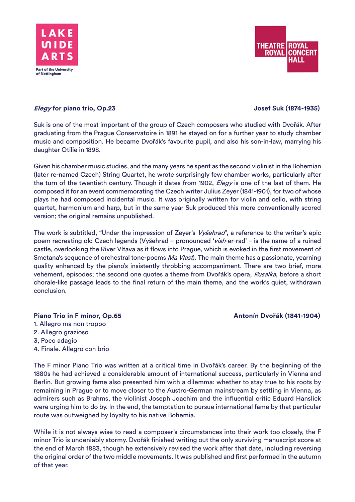



## **Elegy for piano trio, Op.23 Josef Suk (1874-1935)**

Suk is one of the most important of the group of Czech composers who studied with Dvořák. After graduating from the Prague Conservatoire in 1891 he stayed on for a further year to study chamber music and composition. He became Dvořák's favourite pupil, and also his son-in-law, marrying his daughter Otilie in 1898.

Given his chamber music studies, and the many years he spent as the second violinist in the Bohemian (later re-named Czech) String Quartet, he wrote surprisingly few chamber works, particularly after the turn of the twentieth century. Though it dates from 1902, *Elegy* is one of the last of them. He composed it for an event commemorating the Czech writer Julius Zeyer (1841-1901), for two of whose plays he had composed incidental music. It was originally written for violin and cello, with string quartet, harmonium and harp, but in the same year Suk produced this more conventionally scored version; the original remains unpublished.

The work is subtitled, "Under the impression of Zeyer's Vyšehrad", a reference to the writer's epic poem recreating old Czech legends (Vyšehrad – pronounced 'vish-er-rad' – is the name of a ruined castle, overlooking the River Vltava as it flows into Prague, which is evoked in the first movement of Smetana's sequence of orchestral tone-poems Ma Vlast). The main theme has a passionate, yearning quality enhanced by the piano's insistently throbbing accompaniment. There are two brief, more vehement, episodes; the second one quotes a theme from Dvořák's opera, Rusalka, before a short chorale-like passage leads to the final return of the main theme, and the work's quiet, withdrawn conclusion.

### Piano Trio in F minor, Op.65 **Antonín Dvořák (1841-1904)**

- 1. Allegro ma non troppo
- 2. Allegro grazioso
- 3, Poco adagio
- 4. Finale. Allegro con brio

The F minor Piano Trio was written at a critical time in Dvořák's career. By the beginning of the 1880s he had achieved a considerable amount of international success, particularly in Vienna and Berlin. But growing fame also presented him with a dilemma: whether to stay true to his roots by remaining in Prague or to move closer to the Austro-German mainstream by settling in Vienna, as admirers such as Brahms, the violinist Joseph Joachim and the influential critic Eduard Hanslick were urging him to do by. In the end, the temptation to pursue international fame by that particular route was outweighed by loyalty to his native Bohemia.

While it is not always wise to read a composer's circumstances into their work too closely, the F minor Trio is undeniably stormy. Dvořák finished writing out the only surviving manuscript score at the end of March 1883, though he extensively revised the work after that date, including reversing the original order of the two middle movements. It was published and first performed in the autumn of that year.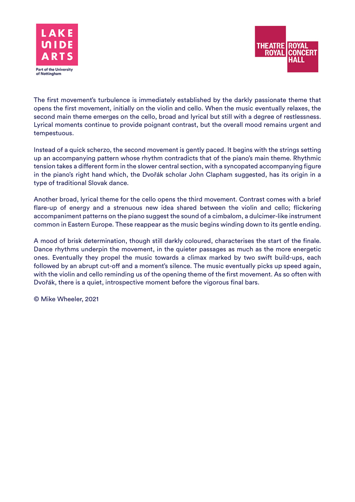



The first movement's turbulence is immediately established by the darkly passionate theme that opens the first movement, initially on the violin and cello. When the music eventually relaxes, the second main theme emerges on the cello, broad and lyrical but still with a degree of restlessness. Lyrical moments continue to provide poignant contrast, but the overall mood remains urgent and tempestuous.

Instead of a quick scherzo, the second movement is gently paced. It begins with the strings setting up an accompanying pattern whose rhythm contradicts that of the piano's main theme. Rhythmic tension takes a different form in the slower central section, with a syncopated accompanying figure in the piano's right hand which, the Dvořák scholar John Clapham suggested, has its origin in a type of traditional Slovak dance.

Another broad, lyrical theme for the cello opens the third movement. Contrast comes with a brief flare-up of energy and a strenuous new idea shared between the violin and cello; flickering accompaniment patterns on the piano suggest the sound of a cimbalom, a dulcimer-like instrument common in Eastern Europe. These reappear as the music begins winding down to its gentle ending.

A mood of brisk determination, though still darkly coloured, characterises the start of the finale. Dance rhythms underpin the movement, in the quieter passages as much as the more energetic ones. Eventually they propel the music towards a climax marked by two swift build-ups, each followed by an abrupt cut-off and a moment's silence. The music eventually picks up speed again, with the violin and cello reminding us of the opening theme of the first movement. As so often with Dvořák, there is a quiet, introspective moment before the vigorous final bars.

© Mike Wheeler, 2021